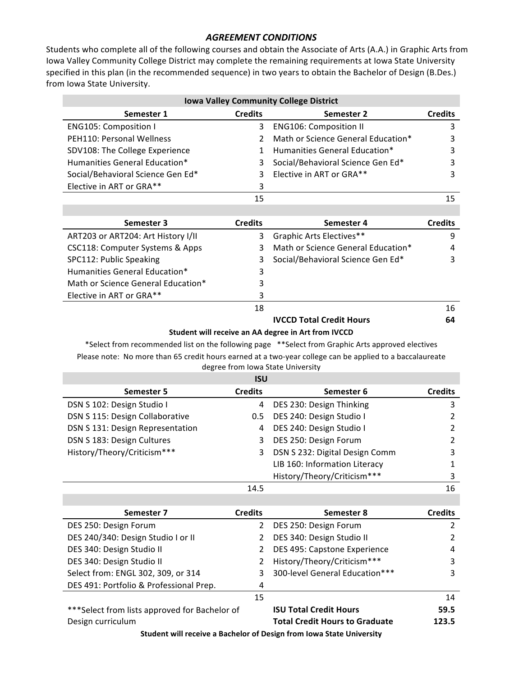## *AGREEMENT CONDITIONS*

Students who complete all of the following courses and obtain the Associate of Arts (A.A.) in Graphic Arts from Iowa Valley Community College District may complete the remaining requirements at Iowa State University specified in this plan (in the recommended sequence) in two years to obtain the Bachelor of Design (B.Des.) from Iowa State University.

| <b>Iowa Valley Community College District</b>                                                            |                |                                                                                                   |                |  |  |
|----------------------------------------------------------------------------------------------------------|----------------|---------------------------------------------------------------------------------------------------|----------------|--|--|
| Semester 1                                                                                               | <b>Credits</b> | <b>Semester 2</b>                                                                                 | <b>Credits</b> |  |  |
| <b>ENG105: Composition I</b>                                                                             | 3              | <b>ENG106: Composition II</b>                                                                     | 3              |  |  |
| PEH110: Personal Wellness                                                                                | $\overline{2}$ | Math or Science General Education*                                                                | 3              |  |  |
| SDV108: The College Experience                                                                           | $\mathbf{1}$   | Humanities General Education*                                                                     | 3              |  |  |
| Humanities General Education*                                                                            | 3              | Social/Behavioral Science Gen Ed*                                                                 | 3              |  |  |
| Social/Behavioral Science Gen Ed*                                                                        | 3              | Elective in ART or GRA**                                                                          | 3              |  |  |
| Elective in ART or GRA**                                                                                 | 3              |                                                                                                   |                |  |  |
|                                                                                                          | 15             |                                                                                                   | 15             |  |  |
|                                                                                                          |                |                                                                                                   |                |  |  |
| Semester 3                                                                                               | <b>Credits</b> | Semester 4                                                                                        | <b>Credits</b> |  |  |
| ART203 or ART204: Art History I/II                                                                       | 3              | Graphic Arts Electives**                                                                          | 9              |  |  |
| CSC118: Computer Systems & Apps                                                                          | 3              | Math or Science General Education*                                                                | 4              |  |  |
| SPC112: Public Speaking                                                                                  | 3              | Social/Behavioral Science Gen Ed*                                                                 | 3              |  |  |
| Humanities General Education*                                                                            | 3              |                                                                                                   |                |  |  |
| Math or Science General Education*                                                                       | 3              |                                                                                                   |                |  |  |
| Elective in ART or GRA**                                                                                 | 3              |                                                                                                   |                |  |  |
|                                                                                                          | 18             |                                                                                                   | 16             |  |  |
|                                                                                                          |                | <b>IVCCD Total Credit Hours</b>                                                                   | 64             |  |  |
|                                                                                                          |                | Student will receive an AA degree in Art from IVCCD                                               |                |  |  |
|                                                                                                          |                | *Select from recommended list on the following page **Select from Graphic Arts approved electives |                |  |  |
| Please note: No more than 65 credit hours earned at a two-year college can be applied to a baccalaureate |                |                                                                                                   |                |  |  |
|                                                                                                          |                | degree from Iowa State University                                                                 |                |  |  |
|                                                                                                          | <b>ISU</b>     |                                                                                                   |                |  |  |
| <b>Semester 5</b>                                                                                        | <b>Credits</b> | Semester 6                                                                                        | <b>Credits</b> |  |  |
| DSN S 102: Design Studio I                                                                               | 4              | DES 230: Design Thinking                                                                          | 3              |  |  |
| DSN S 115: Design Collaborative                                                                          | 0.5            | DES 240: Design Studio I                                                                          | $\overline{2}$ |  |  |
| DSN S 131: Design Representation                                                                         | 4              | DES 240: Design Studio I                                                                          | $\overline{2}$ |  |  |
| DSN S 183: Design Cultures                                                                               | 3              | DES 250: Design Forum                                                                             | $\overline{2}$ |  |  |
| History/Theory/Criticism***                                                                              | 3              | DSN S 232: Digital Design Comm                                                                    | 3              |  |  |
|                                                                                                          |                | LIB 160: Information Literacy                                                                     | $\mathbf{1}$   |  |  |
|                                                                                                          |                | History/Theory/Criticism***                                                                       | 3<br>16        |  |  |
|                                                                                                          | 14.5           |                                                                                                   |                |  |  |
| Semester 7                                                                                               | <b>Credits</b> | Semester 8                                                                                        | <b>Credits</b> |  |  |
| DES 250: Design Forum                                                                                    | 2              | DES 250: Design Forum                                                                             | $\overline{2}$ |  |  |
| DES 240/340: Design Studio I or II                                                                       | $\overline{2}$ | DES 340: Design Studio II                                                                         | $\overline{2}$ |  |  |
| DES 340: Design Studio II                                                                                | 2              | DES 495: Capstone Experience                                                                      | 4              |  |  |
| DES 340: Design Studio II                                                                                | $\overline{2}$ | History/Theory/Criticism***                                                                       | 3              |  |  |
| Select from: ENGL 302, 309, or 314                                                                       | 3              | 300-level General Education***                                                                    | 3              |  |  |
| DES 491: Portfolio & Professional Prep.                                                                  | 4              |                                                                                                   |                |  |  |
|                                                                                                          |                |                                                                                                   |                |  |  |
|                                                                                                          | 15             |                                                                                                   | 14             |  |  |

\*\*\*Select from lists approved for Bachelor of Design curriculum **Total Credit Hours to Graduate 123.5**

**Student will receive a Bachelor of Design from Iowa State University**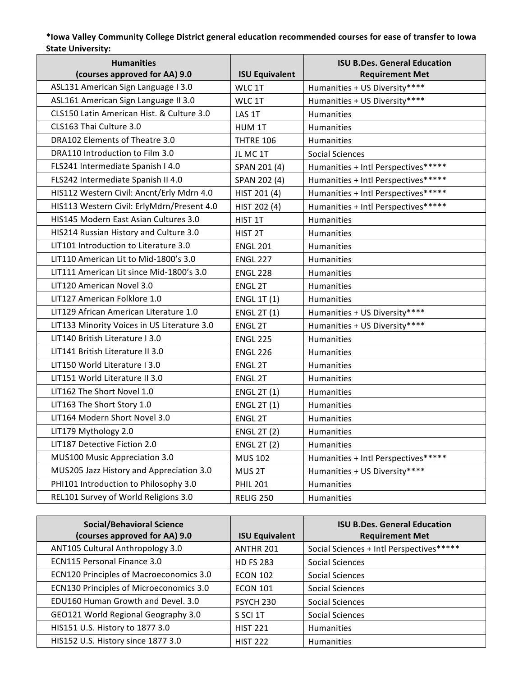## **\*Iowa Valley Community College District general education recommended courses for ease of transfer to Iowa**  State University:

| <b>Humanities</b><br>(courses approved for AA) 9.0 | <b>ISU Equivalent</b> | <b>ISU B.Des. General Education</b><br><b>Requirement Met</b> |
|----------------------------------------------------|-----------------------|---------------------------------------------------------------|
| ASL131 American Sign Language I 3.0                | WLC 1T                | Humanities + US Diversity****                                 |
| ASL161 American Sign Language II 3.0               | WLC 1T                | Humanities + US Diversity****                                 |
| CLS150 Latin American Hist. & Culture 3.0          | LAS 1T                | Humanities                                                    |
| CLS163 Thai Culture 3.0                            | HUM 1T                | Humanities                                                    |
| DRA102 Elements of Theatre 3.0                     | <b>THTRE 106</b>      | Humanities                                                    |
| DRA110 Introduction to Film 3.0                    | JL MC 1T              | <b>Social Sciences</b>                                        |
| FLS241 Intermediate Spanish I 4.0                  | SPAN 201 (4)          | Humanities + Intl Perspectives*****                           |
| FLS242 Intermediate Spanish II 4.0                 | SPAN 202 (4)          | Humanities + Intl Perspectives*****                           |
| HIS112 Western Civil: Ancnt/Erly Mdrn 4.0          | HIST 201 (4)          | Humanities + Intl Perspectives*****                           |
| HIS113 Western Civil: ErlyMdrn/Present 4.0         | HIST 202 (4)          | Humanities + Intl Perspectives*****                           |
| HIS145 Modern East Asian Cultures 3.0              | HIST 1T               | Humanities                                                    |
| HIS214 Russian History and Culture 3.0             | HIST <sub>2T</sub>    | Humanities                                                    |
| LIT101 Introduction to Literature 3.0              | <b>ENGL 201</b>       | <b>Humanities</b>                                             |
| LIT110 American Lit to Mid-1800's 3.0              | <b>ENGL 227</b>       | Humanities                                                    |
| LIT111 American Lit since Mid-1800's 3.0           | <b>ENGL 228</b>       | Humanities                                                    |
| LIT120 American Novel 3.0                          | <b>ENGL 2T</b>        | <b>Humanities</b>                                             |
| LIT127 American Folklore 1.0                       | <b>ENGL 1T (1)</b>    | <b>Humanities</b>                                             |
| LIT129 African American Literature 1.0             | <b>ENGL 2T (1)</b>    | Humanities + US Diversity****                                 |
| LIT133 Minority Voices in US Literature 3.0        | <b>ENGL 2T</b>        | Humanities + US Diversity****                                 |
| LIT140 British Literature I 3.0                    | <b>ENGL 225</b>       | Humanities                                                    |
| LIT141 British Literature II 3.0                   | <b>ENGL 226</b>       | Humanities                                                    |
| LIT150 World Literature I 3.0                      | <b>ENGL 2T</b>        | Humanities                                                    |
| LIT151 World Literature II 3.0                     | ENGL 2T               | Humanities                                                    |
| LIT162 The Short Novel 1.0                         | <b>ENGL 2T (1)</b>    | Humanities                                                    |
| LIT163 The Short Story 1.0                         | <b>ENGL 2T (1)</b>    | Humanities                                                    |
| LIT164 Modern Short Novel 3.0                      | <b>ENGL 2T</b>        | Humanities                                                    |
| LIT179 Mythology 2.0                               | <b>ENGL 2T (2)</b>    | Humanities                                                    |
| LIT187 Detective Fiction 2.0                       | <b>ENGL 2T (2)</b>    | Humanities                                                    |
| MUS100 Music Appreciation 3.0                      | <b>MUS 102</b>        | Humanities + Intl Perspectives*****                           |
| MUS205 Jazz History and Appreciation 3.0           | MUS 2T                | Humanities + US Diversity****                                 |
| PHI101 Introduction to Philosophy 3.0              | <b>PHIL 201</b>       | Humanities                                                    |
| REL101 Survey of World Religions 3.0               | <b>RELIG 250</b>      | Humanities                                                    |

| <b>Social/Behavioral Science</b><br>(courses approved for AA) 9.0 | <b>ISU Equivalent</b> | <b>ISU B.Des. General Education</b><br><b>Requirement Met</b> |
|-------------------------------------------------------------------|-----------------------|---------------------------------------------------------------|
| ANT105 Cultural Anthropology 3.0                                  | ANTHR 201             | Social Sciences + Intl Perspectives*****                      |
| <b>ECN115 Personal Finance 3.0</b>                                | <b>HD FS 283</b>      | Social Sciences                                               |
| <b>ECN120 Principles of Macroeconomics 3.0</b>                    | <b>ECON 102</b>       | Social Sciences                                               |
| ECN130 Principles of Microeconomics 3.0                           | <b>ECON 101</b>       | Social Sciences                                               |
| EDU160 Human Growth and Devel. 3.0                                | <b>PSYCH 230</b>      | Social Sciences                                               |
| GEO121 World Regional Geography 3.0                               | S SCI 1T              | Social Sciences                                               |
| HIS151 U.S. History to 1877 3.0                                   | <b>HIST 221</b>       | <b>Humanities</b>                                             |
| HIS152 U.S. History since 1877 3.0                                | <b>HIST 222</b>       | <b>Humanities</b>                                             |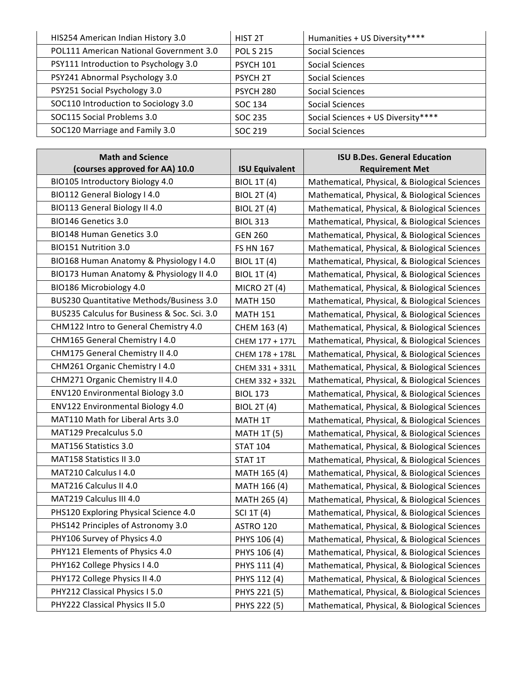| HIS254 American Indian History 3.0      | HIST <sub>2T</sub> | Humanities + US Diversity****      |
|-----------------------------------------|--------------------|------------------------------------|
| POL111 American National Government 3.0 | <b>POL S 215</b>   | Social Sciences                    |
| PSY111 Introduction to Psychology 3.0   | <b>PSYCH 101</b>   | <b>Social Sciences</b>             |
| PSY241 Abnormal Psychology 3.0          | <b>PSYCH 2T</b>    | Social Sciences                    |
| PSY251 Social Psychology 3.0            | <b>PSYCH 280</b>   | Social Sciences                    |
| SOC110 Introduction to Sociology 3.0    | SOC 134            | <b>Social Sciences</b>             |
| SOC115 Social Problems 3.0              | SOC 235            | Social Sciences + US Diversity**** |
| SOC120 Marriage and Family 3.0          | SOC 219            | <b>Social Sciences</b>             |

| <b>Math and Science</b>                      |                       | <b>ISU B.Des. General Education</b>           |
|----------------------------------------------|-----------------------|-----------------------------------------------|
| (courses approved for AA) 10.0               | <b>ISU Equivalent</b> | <b>Requirement Met</b>                        |
| BIO105 Introductory Biology 4.0              | <b>BIOL 1T (4)</b>    | Mathematical, Physical, & Biological Sciences |
| BIO112 General Biology I 4.0                 | <b>BIOL 2T (4)</b>    | Mathematical, Physical, & Biological Sciences |
| BIO113 General Biology II 4.0                | <b>BIOL 2T (4)</b>    | Mathematical, Physical, & Biological Sciences |
| BIO146 Genetics 3.0                          | <b>BIOL 313</b>       | Mathematical, Physical, & Biological Sciences |
| BIO148 Human Genetics 3.0                    | <b>GEN 260</b>        | Mathematical, Physical, & Biological Sciences |
| BIO151 Nutrition 3.0                         | <b>FS HN 167</b>      | Mathematical, Physical, & Biological Sciences |
| BIO168 Human Anatomy & Physiology I 4.0      | <b>BIOL 1T (4)</b>    | Mathematical, Physical, & Biological Sciences |
| BIO173 Human Anatomy & Physiology II 4.0     | <b>BIOL 1T (4)</b>    | Mathematical, Physical, & Biological Sciences |
| BIO186 Microbiology 4.0                      | <b>MICRO 2T (4)</b>   | Mathematical, Physical, & Biological Sciences |
| BUS230 Quantitative Methods/Business 3.0     | <b>MATH 150</b>       | Mathematical, Physical, & Biological Sciences |
| BUS235 Calculus for Business & Soc. Sci. 3.0 | <b>MATH 151</b>       | Mathematical, Physical, & Biological Sciences |
| CHM122 Intro to General Chemistry 4.0        | CHEM 163 (4)          | Mathematical, Physical, & Biological Sciences |
| CHM165 General Chemistry I 4.0               | CHEM 177 + 177L       | Mathematical, Physical, & Biological Sciences |
| CHM175 General Chemistry II 4.0              | CHEM 178 + 178L       | Mathematical, Physical, & Biological Sciences |
| CHM261 Organic Chemistry I 4.0               | CHEM 331 + 331L       | Mathematical, Physical, & Biological Sciences |
| CHM271 Organic Chemistry II 4.0              | CHEM 332 + 332L       | Mathematical, Physical, & Biological Sciences |
| <b>ENV120 Environmental Biology 3.0</b>      | <b>BIOL 173</b>       | Mathematical, Physical, & Biological Sciences |
| ENV122 Environmental Biology 4.0             | <b>BIOL 2T (4)</b>    | Mathematical, Physical, & Biological Sciences |
| MAT110 Math for Liberal Arts 3.0             | MATH 1T               | Mathematical, Physical, & Biological Sciences |
| MAT129 Precalculus 5.0                       | <b>MATH 1T (5)</b>    | Mathematical, Physical, & Biological Sciences |
| MAT156 Statistics 3.0                        | <b>STAT 104</b>       | Mathematical, Physical, & Biological Sciences |
| MAT158 Statistics II 3.0                     | STAT 1T               | Mathematical, Physical, & Biological Sciences |
| MAT210 Calculus I 4.0                        | MATH 165 (4)          | Mathematical, Physical, & Biological Sciences |
| MAT216 Calculus II 4.0                       | MATH 166 (4)          | Mathematical, Physical, & Biological Sciences |
| MAT219 Calculus III 4.0                      | MATH 265 (4)          | Mathematical, Physical, & Biological Sciences |
| PHS120 Exploring Physical Science 4.0        | SCI 1T (4)            | Mathematical, Physical, & Biological Sciences |
| PHS142 Principles of Astronomy 3.0           | ASTRO 120             | Mathematical, Physical, & Biological Sciences |
| PHY106 Survey of Physics 4.0                 | PHYS 106 (4)          | Mathematical, Physical, & Biological Sciences |
| PHY121 Elements of Physics 4.0               | PHYS 106 (4)          | Mathematical, Physical, & Biological Sciences |
| PHY162 College Physics I 4.0                 | PHYS 111 (4)          | Mathematical, Physical, & Biological Sciences |
| PHY172 College Physics II 4.0                | PHYS 112 (4)          | Mathematical, Physical, & Biological Sciences |
| PHY212 Classical Physics I 5.0               | PHYS 221 (5)          | Mathematical, Physical, & Biological Sciences |
| PHY222 Classical Physics II 5.0              | PHYS 222 (5)          | Mathematical, Physical, & Biological Sciences |